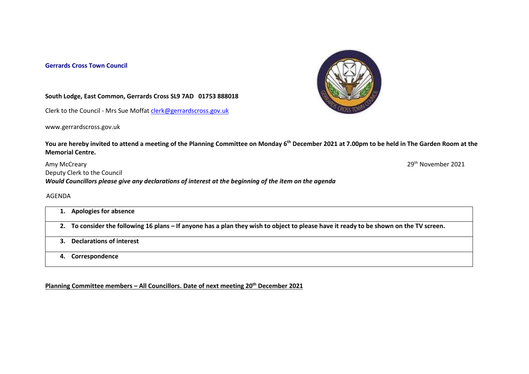## **Gerrards Cross Town Council**



## **South Lodge, East Common, Gerrards Cross SL9 7AD 01753 888018**

Clerk to the Council - Mrs Sue Moffat [clerk@gerrardscross.gov.uk](mailto:clerk@gerrardscross.gov.uk)

www.gerrardscross.gov.uk

**You are hereby invited to attend a meeting of the Planning Committee on Monday 6th December 2021 at 7.00pm to be held in The Garden Room at the Memorial Centre.** 

Amy McCreary 2021 Deputy Clerk to the Council *Would Councillors please give any declarations of interest at the beginning of the item on the agenda*

AGENDA

|    | 1. Apologies for absence                                                                                                               |
|----|----------------------------------------------------------------------------------------------------------------------------------------|
|    | 2. To consider the following 16 plans – If anyone has a plan they wish to object to please have it ready to be shown on the TV screen. |
|    | <b>Declarations of interest</b>                                                                                                        |
| 4. | Correspondence                                                                                                                         |

**Planning Committee members – All Councillors. Date of next meeting 20th December 2021**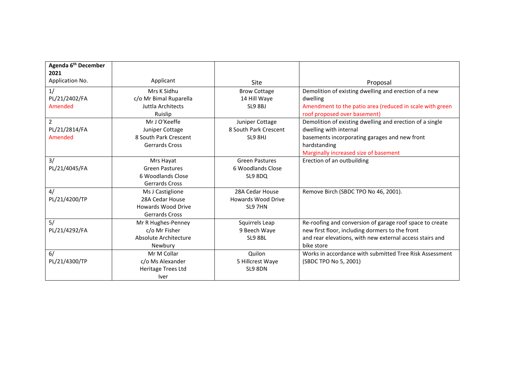| Agenda 6 <sup>th</sup> December<br>2021 |                           |                           |                                                          |
|-----------------------------------------|---------------------------|---------------------------|----------------------------------------------------------|
| Application No.                         | Applicant                 | Site                      | Proposal                                                 |
| 1/                                      | Mrs K Sidhu               | <b>Brow Cottage</b>       | Demolition of existing dwelling and erection of a new    |
| PL/21/2402/FA                           | c/o Mr Bimal Ruparella    | 14 Hill Waye              | dwelling                                                 |
| Amended                                 | Juttla Architects         | SL9 8BJ                   | Amendment to the patio area (reduced in scale with green |
|                                         | Ruislip                   |                           | roof proposed over basement)                             |
| $\overline{2}$                          | Mr J O'Keeffe             | Juniper Cottage           | Demolition of existing dwelling and erection of a single |
| PL/21/2814/FA                           | Juniper Cottage           | 8 South Park Crescent     | dwelling with internal                                   |
| Amended                                 | 8 South Park Crescent     | SL9 8HJ                   | basements incorporating garages and new front            |
|                                         | <b>Gerrards Cross</b>     |                           | hardstanding                                             |
|                                         |                           |                           | Marginally increased size of basement                    |
| 3/                                      | Mrs Hayat                 | <b>Green Pastures</b>     | Erection of an outbuilding                               |
| PL/21/4045/FA                           | <b>Green Pastures</b>     | 6 Woodlands Close         |                                                          |
|                                         | 6 Woodlands Close         | SL9 8DQ                   |                                                          |
|                                         | <b>Gerrards Cross</b>     |                           |                                                          |
| 4/                                      | Ms J Castiglione          | 28A Cedar House           | Remove Birch (SBDC TPO No 46, 2001).                     |
| PL/21/4200/TP                           | 28A Cedar House           | <b>Howards Wood Drive</b> |                                                          |
|                                         | <b>Howards Wood Drive</b> | SL9 7HN                   |                                                          |
|                                         | <b>Gerrards Cross</b>     |                           |                                                          |
| 5/                                      | Mr R Hughes-Penney        | Squirrels Leap            | Re-roofing and conversion of garage roof space to create |
| PL/21/4292/FA                           | c/o Mr Fisher             | 9 Beech Waye              | new first floor, including dormers to the front          |
|                                         | Absolute Architecture     | SL9 8BL                   | and rear elevations, with new external access stairs and |
|                                         | Newbury                   |                           | bike store                                               |
| 6/                                      | Mr M Collar               | Quilon                    | Works in accordance with submitted Tree Risk Assessment  |
| PL/21/4300/TP                           | c/o Ms Alexander          | 5 Hillcrest Waye          | (SBDC TPO No 5, 2001)                                    |
|                                         | Heritage Trees Ltd        | SL9 8DN                   |                                                          |
|                                         | <b>Iver</b>               |                           |                                                          |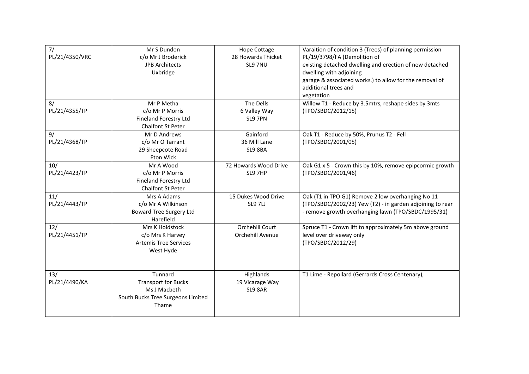| 7/             | Mr S Dundon                       | Hope Cottage          | Varaition of condition 3 (Trees) of planning permission   |
|----------------|-----------------------------------|-----------------------|-----------------------------------------------------------|
| PL/21/4350/VRC | c/o Mr J Broderick                | 28 Howards Thicket    | PL/19/3798/FA (Demolition of                              |
|                | <b>JPB Architects</b>             | SL9 7NU               | existing detached dwelling and erection of new detached   |
|                | Uxbridge                          |                       | dwelling with adjoining                                   |
|                |                                   |                       | garage & associated works.) to allow for the removal of   |
|                |                                   |                       | additional trees and                                      |
|                |                                   |                       | vegetation                                                |
| 8/             | Mr P Metha                        | The Dells             | Willow T1 - Reduce by 3.5mtrs, reshape sides by 3mts      |
| PL/21/4355/TP  | c/o Mr P Morris                   | 6 Valley Way          | (TPO/SBDC/2012/15)                                        |
|                | <b>Fineland Forestry Ltd</b>      | SL9 7PN               |                                                           |
|                | Chalfont St Peter                 |                       |                                                           |
| 9/             | Mr D Andrews                      | Gainford              | Oak T1 - Reduce by 50%, Prunus T2 - Fell                  |
| PL/21/4368/TP  | c/o Mr O Tarrant                  | 36 Mill Lane          | (TPO/SBDC/2001/05)                                        |
|                | 29 Sheepcote Road                 | SL9 8BA               |                                                           |
|                | Eton Wick                         |                       |                                                           |
| 10/            | Mr A Wood                         | 72 Howards Wood Drive | Oak G1 x 5 - Crown this by 10%, remove epipcormic growth  |
| PL/21/4423/TP  | c/o Mr P Morris                   | SL9 7HP               | (TPO/SBDC/2001/46)                                        |
|                | <b>Fineland Forestry Ltd</b>      |                       |                                                           |
|                | <b>Chalfont St Peter</b>          |                       |                                                           |
| 11/            | Mrs A Adams                       | 15 Dukes Wood Drive   | Oak (T1 in TPO G1) Remove 2 low overhanging No 11         |
| PL/21/4443/TP  | c/o Mr A Wilkinson                | <b>SL97LJ</b>         | (TPO/SBDC/2002/23) Yew (T2) - in garden adjoining to rear |
|                | <b>Boward Tree Surgery Ltd</b>    |                       | - remove growth overhanging lawn (TPO/SBDC/1995/31)       |
|                | Harefield                         |                       |                                                           |
| 12/            | Mrs K Holdstock                   | Orchehill Court       | Spruce T1 - Crown lift to approximately 5m above ground   |
| PL/21/4451/TP  | c/o Mrs K Harvey                  | Orchehill Avenue      | level over driveway only                                  |
|                | <b>Artemis Tree Services</b>      |                       | (TPO/SBDC/2012/29)                                        |
|                | West Hyde                         |                       |                                                           |
|                |                                   |                       |                                                           |
|                |                                   |                       |                                                           |
| 13/            | Tunnard                           | Highlands             | T1 Lime - Repollard (Gerrards Cross Centenary),           |
| PL/21/4490/KA  | <b>Transport for Bucks</b>        | 19 Vicarage Way       |                                                           |
|                | Ms J Macbeth                      | SL9 8AR               |                                                           |
|                | South Bucks Tree Surgeons Limited |                       |                                                           |
|                | Thame                             |                       |                                                           |
|                |                                   |                       |                                                           |